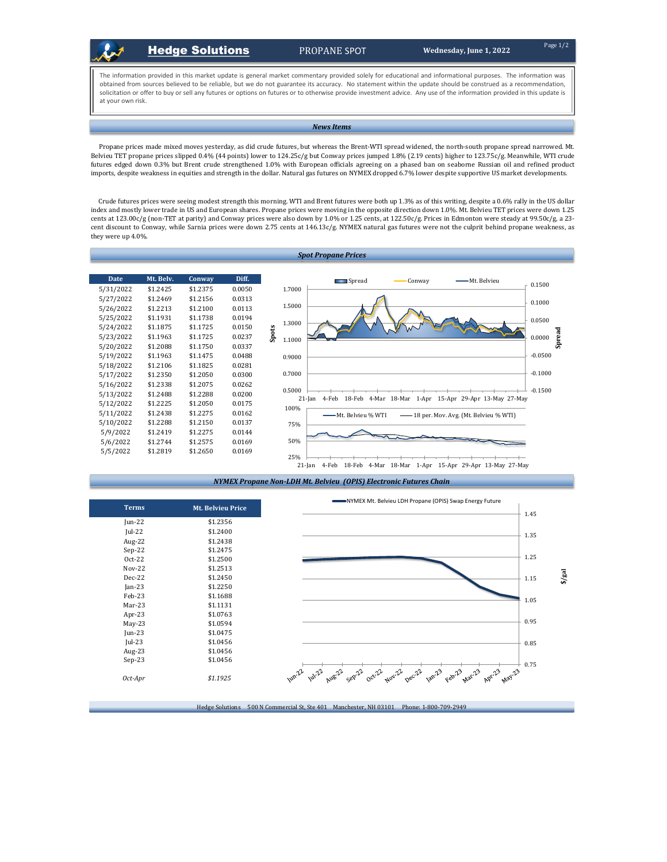

## **Hedge Solutions** PROPANE SPOT Wednesday, June 1, 2022

The information provided in this market update is general market commentary provided solely for educational and informational purposes. The information was obtained from sources believed to be reliable, but we do not guarantee its accuracy. No statement within the update should be construed as a recommendation, solicitation or offer to buy or sell any futures or options on futures or to otherwise provide investment advice. Any use of the information provided in this update is at your own risk.

## *News Items*

Propane prices made mixed moves yesterday, as did crude futures, but whereas the Brent-WTI spread widened, the north-south propane spread narrowed. Mt. Belvieu TET propane prices slipped 0.4% (44 points) lower to 124.25c/g but Conway prices jumped 1.8% (2.19 cents) higher to 123.75c/g. Meanwhile, WTI crude futures edged down 0.3% but Brent crude strengthened 1.0% with European officials agreeing on a phased ban on seaborne Russian oil and refined product imports, despite weakness in equities and strength in the dollar. Natural gas futures on NYMEX dropped 6.7% lower despite supportive US market developments.

Crude futures prices were seeing modest strength this morning. WTI and Brent futures were both up 1.3% as of this writing, despite a 0.6% rally in the US dollar index and mostly lower trade in US and European shares. Propane prices were moving in the opposite direction down 1.0%. Mt. Belvieu TET prices were down 1.25 cents at 123.00c/g (non-TET at parity) and Conway prices were also down by 1.0% or 1.25 cents, at 122.50c/g. Prices in Edmonton were steady at 99.50c/g, a 23 cent discount to Conway, while Sarnia prices were down 2.75 cents at 146.13c/g. NYMEX natural gas futures were not the culprit behind propane weakness, as they were up 4.0%.







| <b>Terms</b>  | <b>Mt. Belvieu Price</b> |
|---------------|--------------------------|
| $Jun-22$      | \$1.2356                 |
| $Iul-22$      | \$1.2400                 |
| Aug-22        | \$1.2438                 |
| $Sep-22$      | \$1.2475                 |
| Oct-22        | \$1.2500                 |
| <b>Nov-22</b> | \$1.2513                 |
| Dec-22        | \$1.2450                 |
| $Jan-23$      | \$1.2250                 |
| $Feh-23$      | \$1.1688                 |
| $Mar-23$      | \$1.1131                 |
| Apr-23        | \$1.0763                 |
| $May-23$      | \$1.0594                 |
| $ un-23$      | \$1.0475                 |
| $ ul-23$      | \$1.0456                 |
| Aug-23        | \$1.0456                 |
| $Sep-23$      | \$1.0456                 |
| Oct-Apr       | \$1.1925                 |

Hedge Solutions 500 N Commercial St, Ste 401 Manchester, NH 03101 Phone: 1-800-709-2949